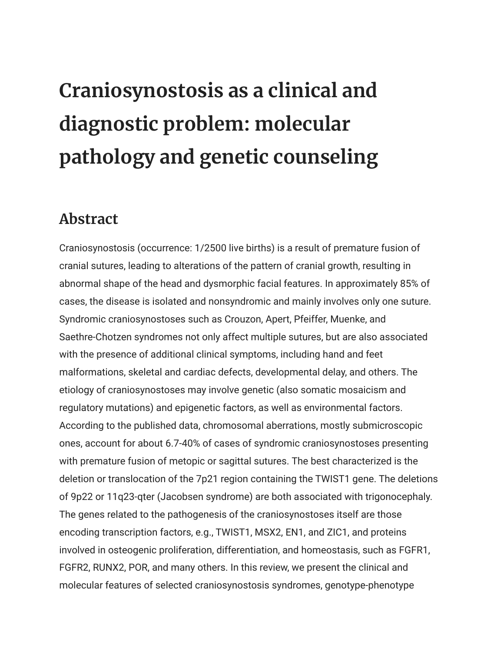## **Craniosynostosis as a clinical and diagnostic problem: molecular pathology and genetic counseling**

## **Abstract**

Craniosynostosis (occurrence: 1/2500 live births) is a result of premature fusion of cranial sutures, leading to alterations of the pattern of cranial growth, resulting in abnormal shape of the head and dysmorphic facial features. In approximately 85% of cases, the disease is isolated and nonsyndromic and mainly involves only one suture. Syndromic craniosynostoses such as Crouzon, Apert, Pfeiffer, Muenke, and Saethre-Chotzen syndromes not only affect multiple sutures, but are also associated with the presence of additional clinical symptoms, including hand and feet malformations, skeletal and cardiac defects, developmental delay, and others. The etiology of craniosynostoses may involve genetic (also somatic mosaicism and regulatory mutations) and epigenetic factors, as well as environmental factors. According to the published data, chromosomal aberrations, mostly submicroscopic ones, account for about 6.7-40% of cases of syndromic craniosynostoses presenting with premature fusion of metopic or sagittal sutures. The best characterized is the deletion or translocation of the 7p21 region containing the TWIST1 gene. The deletions of 9p22 or 11q23-qter (Jacobsen syndrome) are both associated with trigonocephaly. The genes related to the pathogenesis of the craniosynostoses itself are those encoding transcription factors, e.g., TWIST1, MSX2, EN1, and ZIC1, and proteins involved in osteogenic proliferation, differentiation, and homeostasis, such as FGFR1, FGFR2, RUNX2, POR, and many others. In this review, we present the clinical and molecular features of selected craniosynostosis syndromes, genotype-phenotype